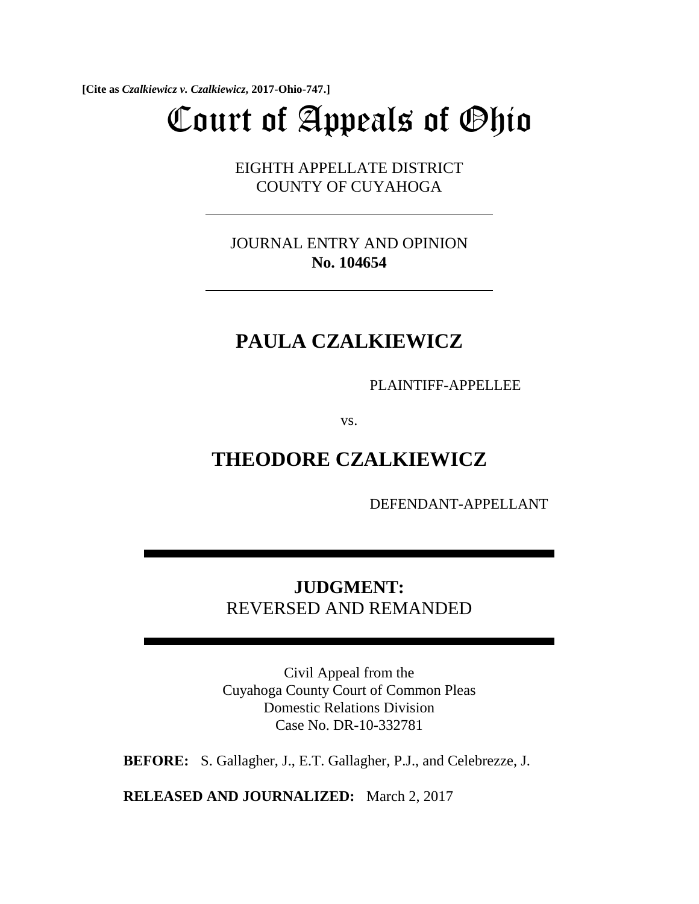**[Cite as** *Czalkiewicz v. Czalkiewicz***, 2017-Ohio-747.]**

# Court of Appeals of Ohio

EIGHTH APPELLATE DISTRICT COUNTY OF CUYAHOGA

JOURNAL ENTRY AND OPINION **No. 104654**

## **PAULA CZALKIEWICZ**

PLAINTIFF-APPELLEE

vs.

**THEODORE CZALKIEWICZ**

DEFENDANT-APPELLANT

## **JUDGMENT:**  REVERSED AND REMANDED

Civil Appeal from the Cuyahoga County Court of Common Pleas Domestic Relations Division Case No. DR-10-332781

**BEFORE:** S. Gallagher, J., E.T. Gallagher, P.J., and Celebrezze, J.

**RELEASED AND JOURNALIZED:** March 2, 2017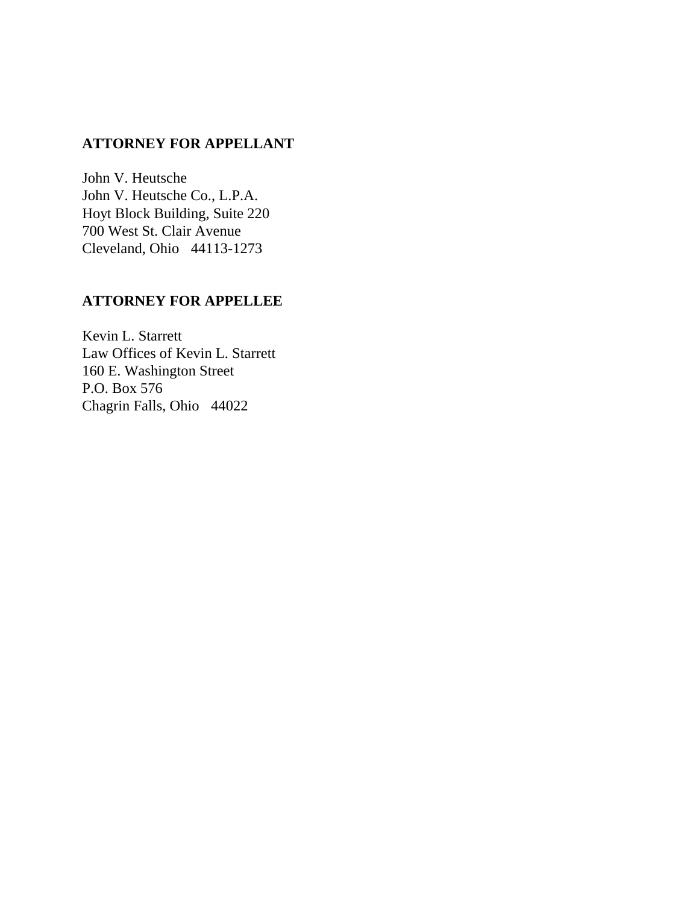### **ATTORNEY FOR APPELLANT**

John V. Heutsche John V. Heutsche Co., L.P.A. Hoyt Block Building, Suite 220 700 West St. Clair Avenue Cleveland, Ohio 44113-1273

#### **ATTORNEY FOR APPELLEE**

Kevin L. Starrett Law Offices of Kevin L. Starrett 160 E. Washington Street P.O. Box 576 Chagrin Falls, Ohio 44022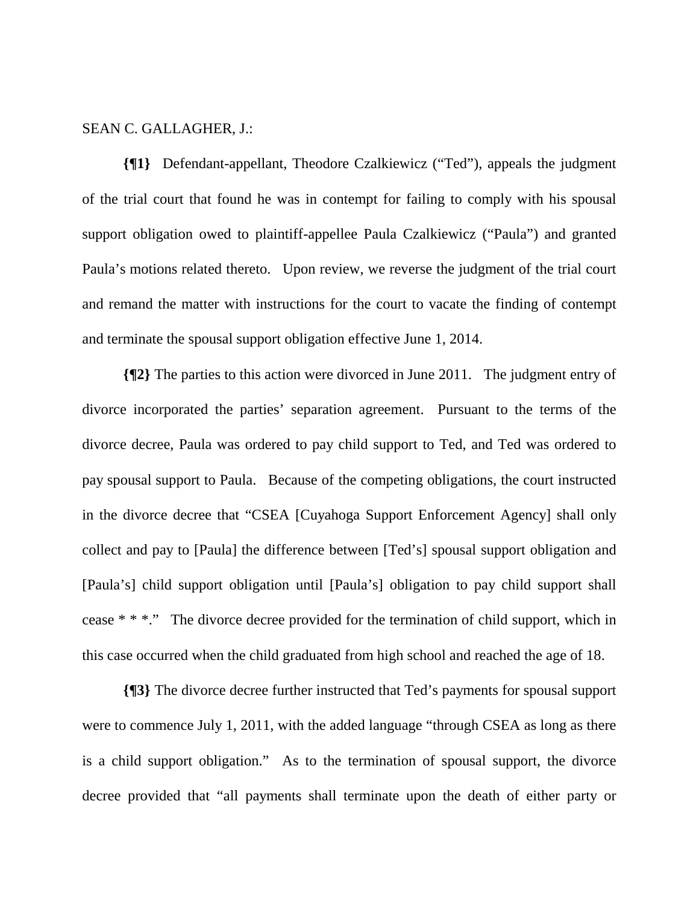#### SEAN C. GALLAGHER, J.:

**{¶1}** Defendant-appellant, Theodore Czalkiewicz ("Ted"), appeals the judgment of the trial court that found he was in contempt for failing to comply with his spousal support obligation owed to plaintiff-appellee Paula Czalkiewicz ("Paula") and granted Paula's motions related thereto. Upon review, we reverse the judgment of the trial court and remand the matter with instructions for the court to vacate the finding of contempt and terminate the spousal support obligation effective June 1, 2014.

**{¶2}** The parties to this action were divorced in June 2011. The judgment entry of divorce incorporated the parties' separation agreement. Pursuant to the terms of the divorce decree, Paula was ordered to pay child support to Ted, and Ted was ordered to pay spousal support to Paula. Because of the competing obligations, the court instructed in the divorce decree that "CSEA [Cuyahoga Support Enforcement Agency] shall only collect and pay to [Paula] the difference between [Ted's] spousal support obligation and [Paula's] child support obligation until [Paula's] obligation to pay child support shall cease \* \* \*." The divorce decree provided for the termination of child support, which in this case occurred when the child graduated from high school and reached the age of 18.

**{¶3}** The divorce decree further instructed that Ted's payments for spousal support were to commence July 1, 2011, with the added language "through CSEA as long as there is a child support obligation." As to the termination of spousal support, the divorce decree provided that "all payments shall terminate upon the death of either party or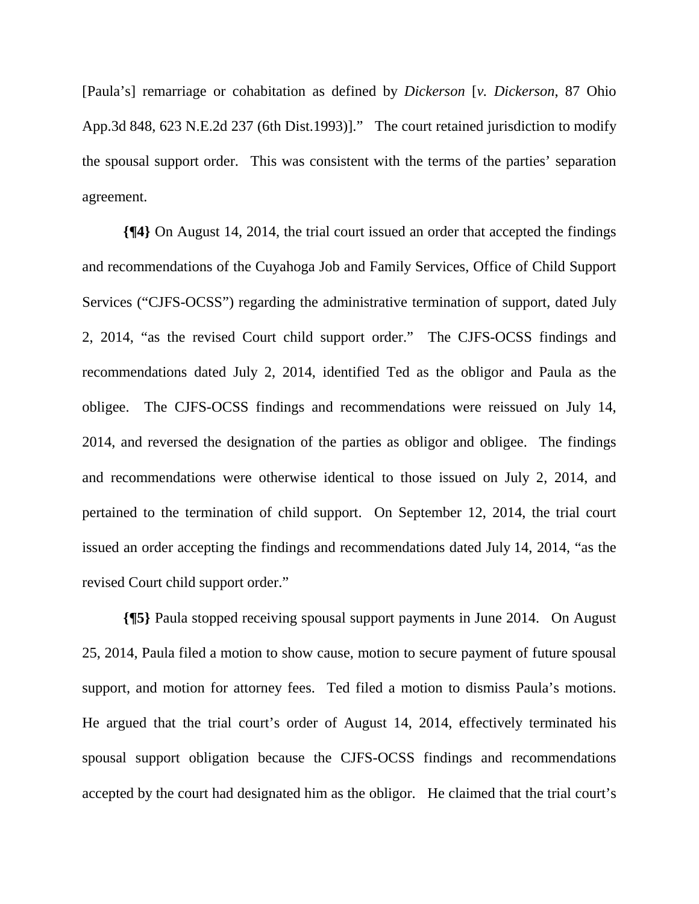[Paula's] remarriage or cohabitation as defined by *Dickerson* [*v. Dickerson*, 87 Ohio App.3d 848, 623 N.E.2d 237 (6th Dist.1993)]." The court retained jurisdiction to modify the spousal support order. This was consistent with the terms of the parties' separation agreement.

**{¶4}** On August 14, 2014, the trial court issued an order that accepted the findings and recommendations of the Cuyahoga Job and Family Services, Office of Child Support Services ("CJFS-OCSS") regarding the administrative termination of support, dated July 2, 2014, "as the revised Court child support order." The CJFS-OCSS findings and recommendations dated July 2, 2014, identified Ted as the obligor and Paula as the obligee. The CJFS-OCSS findings and recommendations were reissued on July 14, 2014, and reversed the designation of the parties as obligor and obligee. The findings and recommendations were otherwise identical to those issued on July 2, 2014, and pertained to the termination of child support. On September 12, 2014, the trial court issued an order accepting the findings and recommendations dated July 14, 2014, "as the revised Court child support order."

**{¶5}** Paula stopped receiving spousal support payments in June 2014. On August 25, 2014, Paula filed a motion to show cause, motion to secure payment of future spousal support, and motion for attorney fees. Ted filed a motion to dismiss Paula's motions. He argued that the trial court's order of August 14, 2014, effectively terminated his spousal support obligation because the CJFS-OCSS findings and recommendations accepted by the court had designated him as the obligor. He claimed that the trial court's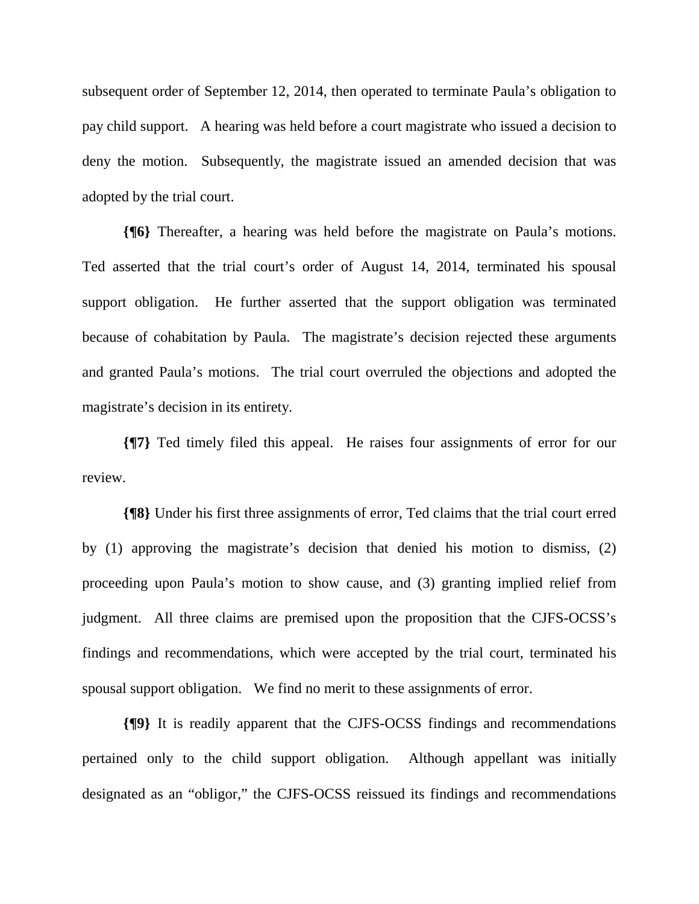subsequent order of September 12, 2014, then operated to terminate Paula's obligation to pay child support. A hearing was held before a court magistrate who issued a decision to deny the motion. Subsequently, the magistrate issued an amended decision that was adopted by the trial court.

**{¶6}** Thereafter, a hearing was held before the magistrate on Paula's motions. Ted asserted that the trial court's order of August 14, 2014, terminated his spousal support obligation. He further asserted that the support obligation was terminated because of cohabitation by Paula. The magistrate's decision rejected these arguments and granted Paula's motions. The trial court overruled the objections and adopted the magistrate's decision in its entirety.

**{¶7}** Ted timely filed this appeal. He raises four assignments of error for our review.

**{¶8}** Under his first three assignments of error, Ted claims that the trial court erred by (1) approving the magistrate's decision that denied his motion to dismiss, (2) proceeding upon Paula's motion to show cause, and (3) granting implied relief from judgment. All three claims are premised upon the proposition that the CJFS-OCSS's findings and recommendations, which were accepted by the trial court, terminated his spousal support obligation. We find no merit to these assignments of error.

**{¶9}** It is readily apparent that the CJFS-OCSS findings and recommendations pertained only to the child support obligation. Although appellant was initially designated as an "obligor," the CJFS-OCSS reissued its findings and recommendations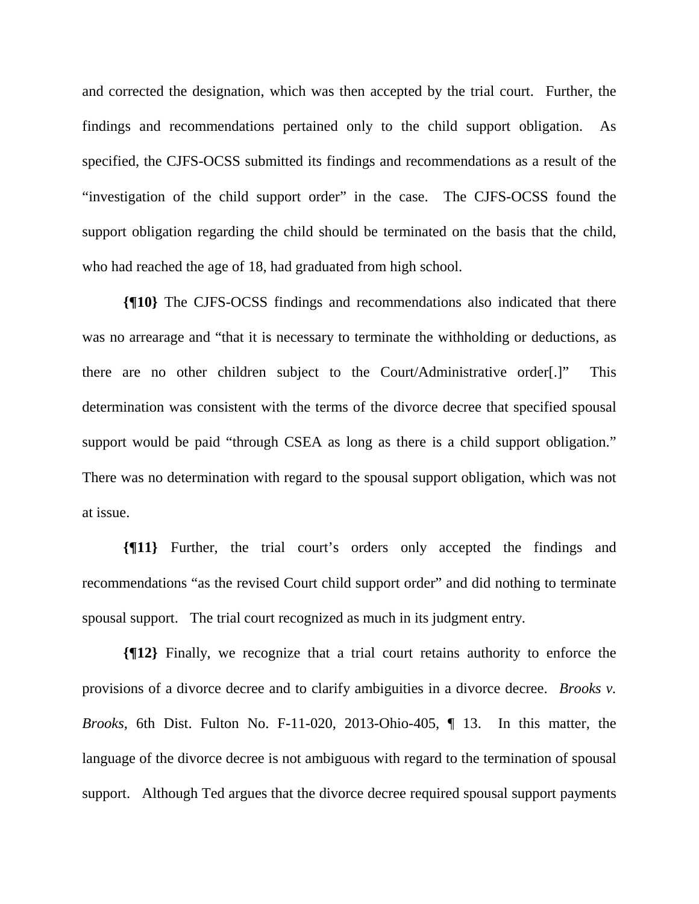and corrected the designation, which was then accepted by the trial court. Further, the findings and recommendations pertained only to the child support obligation. As specified, the CJFS-OCSS submitted its findings and recommendations as a result of the "investigation of the child support order" in the case. The CJFS-OCSS found the support obligation regarding the child should be terminated on the basis that the child, who had reached the age of 18, had graduated from high school.

**{¶10}** The CJFS-OCSS findings and recommendations also indicated that there was no arrearage and "that it is necessary to terminate the withholding or deductions, as there are no other children subject to the Court/Administrative order[.]" This determination was consistent with the terms of the divorce decree that specified spousal support would be paid "through CSEA as long as there is a child support obligation." There was no determination with regard to the spousal support obligation, which was not at issue.

**{¶11}** Further, the trial court's orders only accepted the findings and recommendations "as the revised Court child support order" and did nothing to terminate spousal support. The trial court recognized as much in its judgment entry.

**{¶12}** Finally, we recognize that a trial court retains authority to enforce the provisions of a divorce decree and to clarify ambiguities in a divorce decree. *Brooks v. Brooks*, 6th Dist. Fulton No. F-11-020, 2013-Ohio-405, ¶ 13. In this matter, the language of the divorce decree is not ambiguous with regard to the termination of spousal support. Although Ted argues that the divorce decree required spousal support payments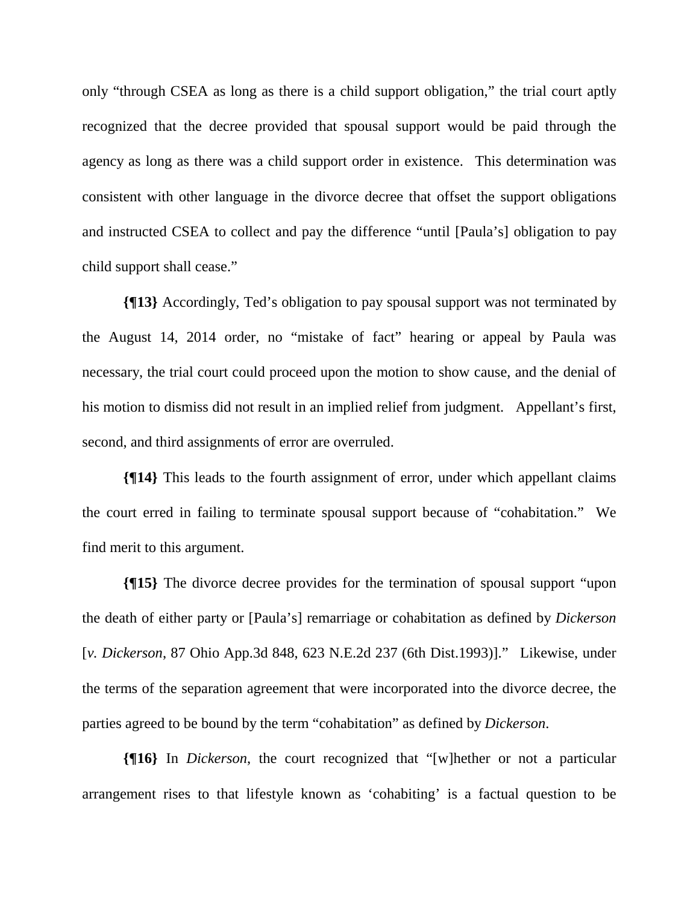only "through CSEA as long as there is a child support obligation," the trial court aptly recognized that the decree provided that spousal support would be paid through the agency as long as there was a child support order in existence. This determination was consistent with other language in the divorce decree that offset the support obligations and instructed CSEA to collect and pay the difference "until [Paula's] obligation to pay child support shall cease."

**{¶13}** Accordingly, Ted's obligation to pay spousal support was not terminated by the August 14, 2014 order, no "mistake of fact" hearing or appeal by Paula was necessary, the trial court could proceed upon the motion to show cause, and the denial of his motion to dismiss did not result in an implied relief from judgment. Appellant's first, second, and third assignments of error are overruled.

**{¶14}** This leads to the fourth assignment of error, under which appellant claims the court erred in failing to terminate spousal support because of "cohabitation." We find merit to this argument.

**{¶15}** The divorce decree provides for the termination of spousal support "upon the death of either party or [Paula's] remarriage or cohabitation as defined by *Dickerson* [*v. Dickerson*, 87 Ohio App.3d 848, 623 N.E.2d 237 (6th Dist.1993)]." Likewise, under the terms of the separation agreement that were incorporated into the divorce decree, the parties agreed to be bound by the term "cohabitation" as defined by *Dickerson*.

**{¶16}** In *Dickerson*, the court recognized that "[w]hether or not a particular arrangement rises to that lifestyle known as 'cohabiting' is a factual question to be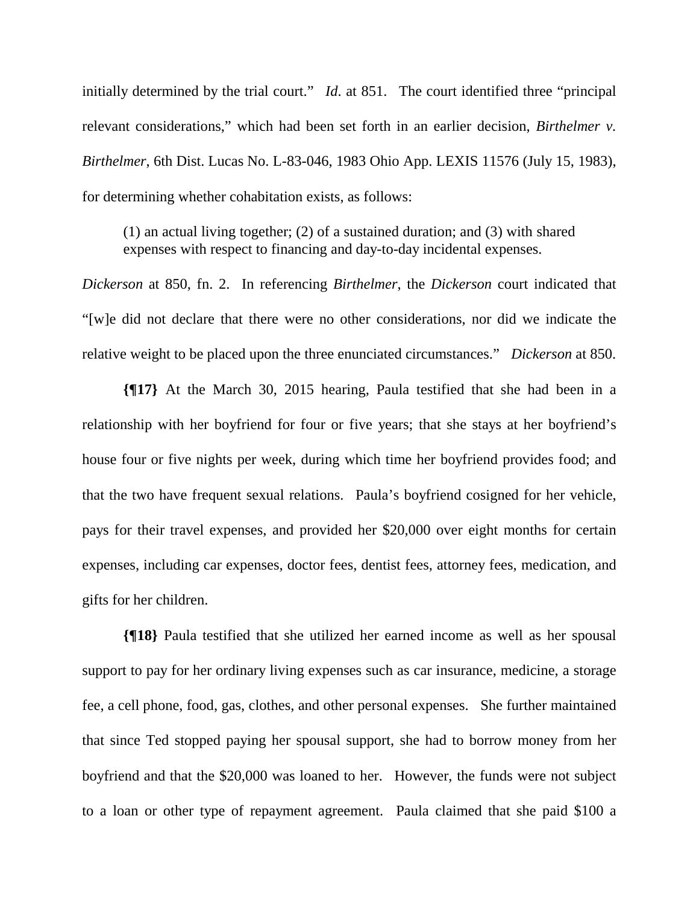initially determined by the trial court." *Id*. at 851. The court identified three "principal" relevant considerations," which had been set forth in an earlier decision, *Birthelmer v. Birthelmer*, 6th Dist. Lucas No. L-83-046, 1983 Ohio App. LEXIS 11576 (July 15, 1983), for determining whether cohabitation exists, as follows:

(1) an actual living together; (2) of a sustained duration; and (3) with shared expenses with respect to financing and day-to-day incidental expenses.

*Dickerson* at 850, fn. 2. In referencing *Birthelmer*, the *Dickerson* court indicated that "[w]e did not declare that there were no other considerations, nor did we indicate the relative weight to be placed upon the three enunciated circumstances." *Dickerson* at 850.

**{¶17}** At the March 30, 2015 hearing, Paula testified that she had been in a relationship with her boyfriend for four or five years; that she stays at her boyfriend's house four or five nights per week, during which time her boyfriend provides food; and that the two have frequent sexual relations. Paula's boyfriend cosigned for her vehicle, pays for their travel expenses, and provided her \$20,000 over eight months for certain expenses, including car expenses, doctor fees, dentist fees, attorney fees, medication, and gifts for her children.

**{¶18}** Paula testified that she utilized her earned income as well as her spousal support to pay for her ordinary living expenses such as car insurance, medicine, a storage fee, a cell phone, food, gas, clothes, and other personal expenses. She further maintained that since Ted stopped paying her spousal support, she had to borrow money from her boyfriend and that the \$20,000 was loaned to her. However, the funds were not subject to a loan or other type of repayment agreement. Paula claimed that she paid \$100 a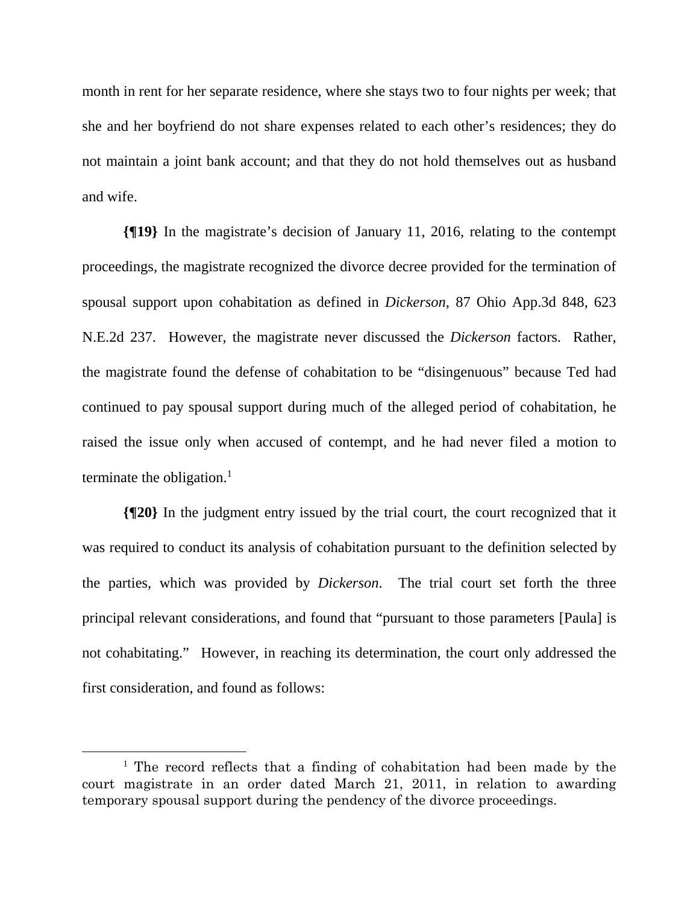month in rent for her separate residence, where she stays two to four nights per week; that she and her boyfriend do not share expenses related to each other's residences; they do not maintain a joint bank account; and that they do not hold themselves out as husband and wife.

**{¶19}** In the magistrate's decision of January 11, 2016, relating to the contempt proceedings, the magistrate recognized the divorce decree provided for the termination of spousal support upon cohabitation as defined in *Dickerson*, 87 Ohio App.3d 848, 623 N.E.2d 237. However, the magistrate never discussed the *Dickerson* factors. Rather, the magistrate found the defense of cohabitation to be "disingenuous" because Ted had continued to pay spousal support during much of the alleged period of cohabitation, he raised the issue only when accused of contempt, and he had never filed a motion to terminate the obligation. $<sup>1</sup>$ </sup>

**{¶20}** In the judgment entry issued by the trial court, the court recognized that it was required to conduct its analysis of cohabitation pursuant to the definition selected by the parties, which was provided by *Dickerson*. The trial court set forth the three principal relevant considerations, and found that "pursuant to those parameters [Paula] is not cohabitating." However, in reaching its determination, the court only addressed the first consideration, and found as follows:

 $\begin{array}{c}\n\hline\n\hline\n\end{array}$ <sup>1</sup> The record reflects that a finding of cohabitation had been made by the court magistrate in an order dated March 21, 2011, in relation to awarding temporary spousal support during the pendency of the divorce proceedings.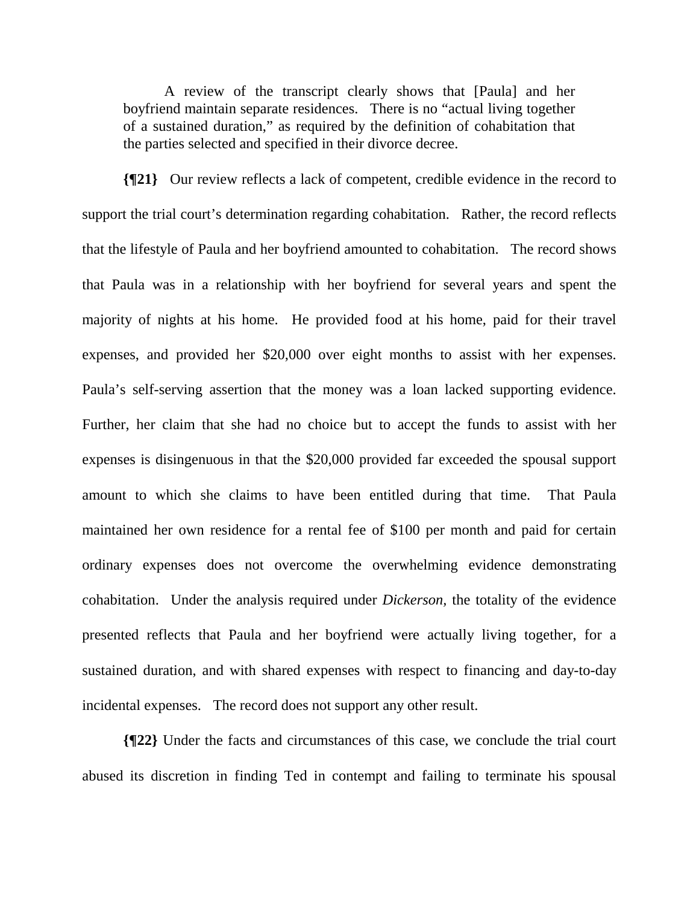A review of the transcript clearly shows that [Paula] and her boyfriend maintain separate residences. There is no "actual living together of a sustained duration," as required by the definition of cohabitation that the parties selected and specified in their divorce decree.

**{¶21}** Our review reflects a lack of competent, credible evidence in the record to support the trial court's determination regarding cohabitation. Rather, the record reflects that the lifestyle of Paula and her boyfriend amounted to cohabitation. The record shows that Paula was in a relationship with her boyfriend for several years and spent the majority of nights at his home. He provided food at his home, paid for their travel expenses, and provided her \$20,000 over eight months to assist with her expenses. Paula's self-serving assertion that the money was a loan lacked supporting evidence. Further, her claim that she had no choice but to accept the funds to assist with her expenses is disingenuous in that the \$20,000 provided far exceeded the spousal support amount to which she claims to have been entitled during that time. That Paula maintained her own residence for a rental fee of \$100 per month and paid for certain ordinary expenses does not overcome the overwhelming evidence demonstrating cohabitation. Under the analysis required under *Dickerson,* the totality of the evidence presented reflects that Paula and her boyfriend were actually living together, for a sustained duration, and with shared expenses with respect to financing and day-to-day incidental expenses. The record does not support any other result.

**{¶22}** Under the facts and circumstances of this case, we conclude the trial court abused its discretion in finding Ted in contempt and failing to terminate his spousal